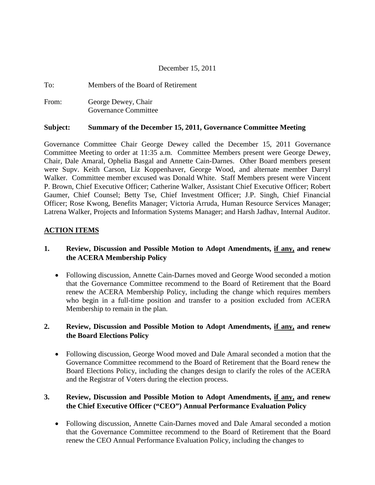#### December 15, 2011

| To:   | Members of the Board of Retirement          |
|-------|---------------------------------------------|
| From: | George Dewey, Chair<br>Governance Committee |

#### **Subject: Summary of the December 15, 2011, Governance Committee Meeting**

Governance Committee Chair George Dewey called the December 15, 2011 Governance Committee Meeting to order at 11:35 a.m. Committee Members present were George Dewey, Chair, Dale Amaral, Ophelia Basgal and Annette Cain-Darnes. Other Board members present were Supv. Keith Carson, Liz Koppenhaver, George Wood, and alternate member Darryl Walker. Committee member excused was Donald White. Staff Members present were Vincent P. Brown, Chief Executive Officer; Catherine Walker, Assistant Chief Executive Officer; Robert Gaumer, Chief Counsel; Betty Tse, Chief Investment Officer; J.P. Singh, Chief Financial Officer; Rose Kwong, Benefits Manager; Victoria Arruda, Human Resource Services Manager; Latrena Walker, Projects and Information Systems Manager; and Harsh Jadhav, Internal Auditor.

#### **ACTION ITEMS**

### **1. Review, Discussion and Possible Motion to Adopt Amendments, if any, and renew the ACERA Membership Policy**

• Following discussion, Annette Cain-Darnes moved and George Wood seconded a motion that the Governance Committee recommend to the Board of Retirement that the Board renew the ACERA Membership Policy, including the change which requires members who begin in a full-time position and transfer to a position excluded from ACERA Membership to remain in the plan.

#### **2. Review, Discussion and Possible Motion to Adopt Amendments, if any, and renew the Board Elections Policy**

• Following discussion, George Wood moved and Dale Amaral seconded a motion that the Governance Committee recommend to the Board of Retirement that the Board renew the Board Elections Policy, including the changes design to clarify the roles of the ACERA and the Registrar of Voters during the election process.

## **3. Review, Discussion and Possible Motion to Adopt Amendments, if any, and renew the Chief Executive Officer ("CEO") Annual Performance Evaluation Policy**

• Following discussion, Annette Cain-Darnes moved and Dale Amaral seconded a motion that the Governance Committee recommend to the Board of Retirement that the Board renew the CEO Annual Performance Evaluation Policy, including the changes to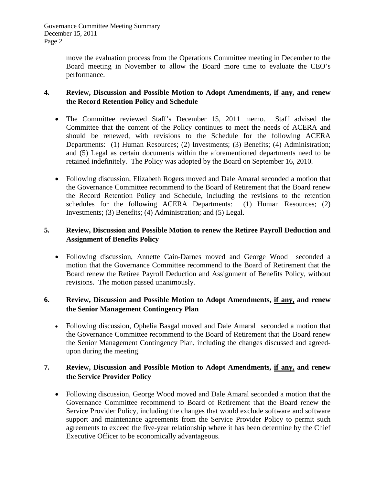Governance Committee Meeting Summary December 15, 2011 Page 2

> move the evaluation process from the Operations Committee meeting in December to the Board meeting in November to allow the Board more time to evaluate the CEO's performance.

### **4. Review, Discussion and Possible Motion to Adopt Amendments, if any, and renew the Record Retention Policy and Schedule**

- The Committee reviewed Staff's December 15, 2011 memo. Staff advised the Committee that the content of the Policy continues to meet the needs of ACERA and should be renewed, with revisions to the Schedule for the following ACERA Departments: (1) Human Resources; (2) Investments; (3) Benefits; (4) Administration; and (5) Legal as certain documents within the aforementioned departments need to be retained indefinitely. The Policy was adopted by the Board on September 16, 2010.
- Following discussion, Elizabeth Rogers moved and Dale Amaral seconded a motion that the Governance Committee recommend to the Board of Retirement that the Board renew the Record Retention Policy and Schedule, including the revisions to the retention schedules for the following ACERA Departments: (1) Human Resources; (2) Investments; (3) Benefits; (4) Administration; and (5) Legal.

## **5. Review, Discussion and Possible Motion to renew the Retiree Payroll Deduction and Assignment of Benefits Policy**

• Following discussion, Annette Cain-Darnes moved and George Wood seconded a motion that the Governance Committee recommend to the Board of Retirement that the Board renew the Retiree Payroll Deduction and Assignment of Benefits Policy, without revisions. The motion passed unanimously.

### **6. Review, Discussion and Possible Motion to Adopt Amendments, if any, and renew the Senior Management Contingency Plan**

• Following discussion, Ophelia Basgal moved and Dale Amaral seconded a motion that the Governance Committee recommend to the Board of Retirement that the Board renew the Senior Management Contingency Plan, including the changes discussed and agreedupon during the meeting.

## **7. Review, Discussion and Possible Motion to Adopt Amendments, if any, and renew the Service Provider Policy**

• Following discussion, George Wood moved and Dale Amaral seconded a motion that the Governance Committee recommend to Board of Retirement that the Board renew the Service Provider Policy, including the changes that would exclude software and software support and maintenance agreements from the Service Provider Policy to permit such agreements to exceed the five-year relationship where it has been determine by the Chief Executive Officer to be economically advantageous.